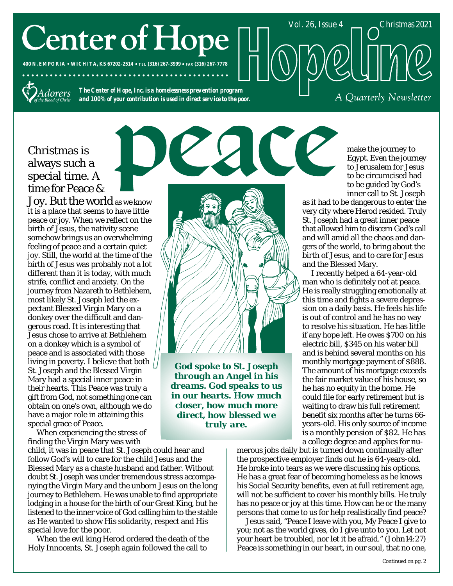# **Center of Hope**

**400 N. EMPORIA WICHITA, KS 67202-2514 TEL (316) 267-3999 FAX (316) 267-7778**



*The Center of Hope, Inc. is a homelessness prevention program and 100% of your contribution is used in direct service to the poor.*

. . . . . . . . . . . . . . .

# Christmas is always such a special time. A time for Peace &

Joy. But the world as we know it is a place that seems to have little peace or joy. When we reflect on the birth of Jesus, the nativity scene somehow brings us an overwhelming feeling of peace and a certain quiet joy. Still, the world at the time of the birth of Jesus was probably not a lot different than it is today, with much strife, conflict and anxiety. On the journey from Nazareth to Bethlehem, most likely St. Joseph led the expectant Blessed Virgin Mary on a donkey over the difficult and dangerous road. It is interesting that Jesus chose to arrive at Bethlehem on a donkey which is a symbol of peace and is associated with those living in poverty. I believe that both  $\frac{1}{2}$ St. Joseph and the Blessed Virgin Mary had a special inner peace in their hearts. This Peace was truly a gift from God, not something one can obtain on one's own, although we do have a major role in attaining this special grace of Peace.

When experiencing the stress of finding the Virgin Mary was with

child, it was in peace that St. Joseph could hear and follow God's will to care for the child Jesus and the Blessed Mary as a chaste husband and father. Without doubt St. Joseph was under tremendous stress accompanying the Virgin Mary and the unborn Jesus on the long journey to Bethlehem. He was unable to find appropriate lodging in a house for the birth of our Great King, but he listened to the inner voice of God calling him to the stable as He wanted to show His solidarity, respect and His special love for the poor.

When the evil king Herod ordered the death of the Holy Innocents, St. Joseph again followed the call to



*God spoke to St. Joseph through an Angel in his dreams. God speaks to us in our hearts. How much closer, how much more direct, how blessed we truly are.*

make the journey to Egypt. Even the journey to Jerusalem for Jesus to be circumcised had to be guided by God's inner call to St. Joseph

A Quarterly Newsletter

as it had to be dangerous to enter the very city where Herod resided. Truly St. Joseph had a great inner peace that allowed him to discern God's call and will amid all the chaos and dangers of the world, to bring about the birth of Jesus, and to care for Jesus and the Blessed Mary.

Vol. 26, Issue 4 Christmas 2021

I recently helped a 64-year-old man who is definitely not at peace. He is really struggling emotionally at this time and fights a severe depression on a daily basis. He feels his life is out of control and he has no way to resolve his situation. He has little if any hope left. He owes \$700 on his electric bill, \$345 on his water bill and is behind several months on his monthly mortgage payment of \$888. The amount of his mortgage exceeds the fair market value of his house, so he has no equity in the home. He could file for early retirement but is waiting to draw his full retirement benefit six months after he turns 66 years-old. His only source of income is a monthly pension of \$82. He has a college degree and applies for nu-

merous jobs daily but is turned down continually after the prospective employer finds out he is 64-years-old. He broke into tears as we were discussing his options. He has a great fear of becoming homeless as he knows his Social Security benefits, even at full retirement age, will not be sufficient to cover his monthly bills. He truly has no peace or joy at this time. How can he or the many persons that come to us for help realistically find peace?

Jesus said, "Peace I leave with you, My Peace I give to you; not as the world gives, do I give unto to you. Let not your heart be troubled, nor let it be afraid." (John14:27) Peace is something in our heart, in our soul, that no one,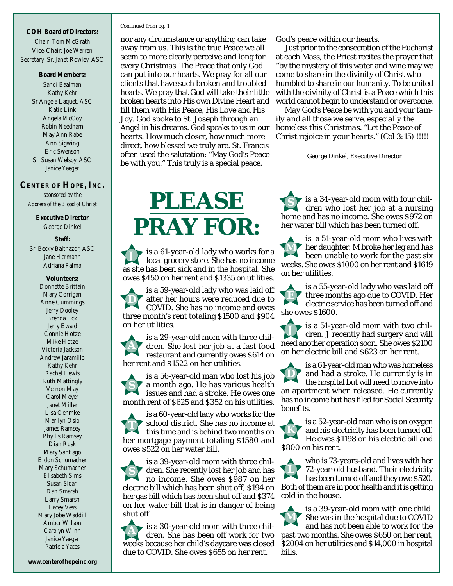#### **COH Board of Directors:**

Chair: Tom McGrath Vice-Chair: Joe Warren Secretary: Sr. Janet Rowley, ASC

#### **Board Members:**

Sandi Baalman Kathy Kehr Sr Angela Laquet, ASC Katie Link Angela McCoy Robin Needham May Ann Rabe Ann Sigwing Eric Swenson Sr. Susan Welsby, ASC Janice Yaeger

#### **CENTER OF HOPE, INC.** *sponsored by the*

*Adorers of the Blood of Christ*

**Executive Director** George Dinkel

**Staff:** Sr. Becky Balthazor, ASC Jane Hermann Adriana Palma

> **Volunteers:** Donnette Brittain Mary Corrigan Anne Cummings Jerry Dooley Brenda Eck Jerry Ewald Connie Hotze Mike Hotze Victoria Jackson Andrew Jaramillo Kathy Kehr Rachel Lewis Ruth Mattingly Vernon May Carol Meyer Janet Miller Lisa Oehmke Marilyn Osio James Ramsey Phyllis Ramsey Dian Rusk Mary Santiago Eldon Schumacher Mary Schumacher Elisabeth Sims Susan Sloan Dan Smarsh Larry Smarsh Lacey Vess Mary Jobe Waddill Amber Wilson Carolyn Winn Janice Yaeger Patricia Yates

#### *Continued from pg. 1*

nor any circumstance or anything can take away from us. This is the true Peace we all seem to more clearly perceive and long for every Christmas. The Peace that only God can put into our hearts. We pray for all our clients that have such broken and troubled hearts. We pray that God will take their little broken hearts into His own Divine Heart and fill them with His Peace, His Love and His Joy. God spoke to St. Joseph through an Angel in his dreams. God speaks to us in our hearts. How much closer, how much more direct, how blessed we truly are. St. Francis often used the salutation: "May God's Peace be with you." This truly is a special peace.

God's peace within our hearts.

Just prior to the consecration of the Eucharist at each Mass, the Priest recites the prayer that "by the mystery of this water and wine may we come to share in the divinity of Christ who humbled to share in our humanity. To be united with the divinity of Christ is a Peace which this world cannot begin to understand or overcome.

*May God's Peace be with you and your family and all those we serve, especially the homeless this Christmas. "Let the Peace of Christ rejoice in your hearts." (Col 3:15) !!!!!*

George Dinkel, Executive Director

# **PLEASE PRAY FOR:**

is a 61-year-old lady who works for a local grocery store. She has no income as she has been sick and in the hospital. She owes \$450 on her rent and \$1335 on utilities. **J**

is a 59-year-old lady who was laid off after her hours were reduced due to COVID. She has no income and owes three month's rent totaling \$1500 and \$904 on her utilities. **D**

is a 29-year-old mom with three children. She lost her job at a fast food restaurant and currently owes \$614 on her rent and \$1522 on her utilities. **A**

is a 56-year-old man who lost his job a month ago. He has various health issues and had a stroke. He owes one month rent of \$625 and \$352 on his utilities. **S**

is a 60-year-old lady who works for the school district. She has no income at this time and is behind two months on her mortgage payment totaling \$1580 and owes \$522 on her water bill. **T**

is a 39-year-old mom with three children. She recently lost her job and has no income. She owes \$987 on her electric bill which has been shut off, \$194 on her gas bill which has been shut off and \$374 on her water bill that is in danger of being shut off. **S**

is a 30-year-old mom with three children. She has been off work for two weeks because her child's daycare was closed due to COVID. She owes \$655 on her rent. **A**

is a 34-year-old mom with four children who lost her job at a nursing home and has no income. She owes \$972 on her water bill which has been turned off. **S**

is a 51-year-old mom who lives with her daughter. M broke her leg and has been unable to work for the past six weeks. She owes \$1000 on her rent and \$1619 on her utilities. **M**

is a 55-year-old lady who was laid off three months ago due to COVID. Her electric service has been turned off and she owes \$1600. **E**

is a 51-year-old mom with two children. J recently had surgery and will need another operation soon. She owes \$2100 on her electric bill and \$623 on her rent. **J**

is a 61-year-old man who was homeless and had a stroke. He currently is in the hospital but will need to move into an apartment when released. He currently has no income but has filed for Social Security benefits. **D**

is a 52-year-old man who is on oxygen and his electricity has been turned off. He owes \$1198 on his electric bill and \$800 on his rent. **K**

who is 73-years-old and lives with her 72-year-old husband. Their electricity has been turned off and they owe \$520. Both of them are in poor health and it is getting cold in the house. **L**

is a 39-year-old mom with one child. She was in the hospital due to COVID and has not been able to work for the past two months. She owes \$650 on her rent, \$2004 on her utilities and \$14,000 in hospital bills. **M**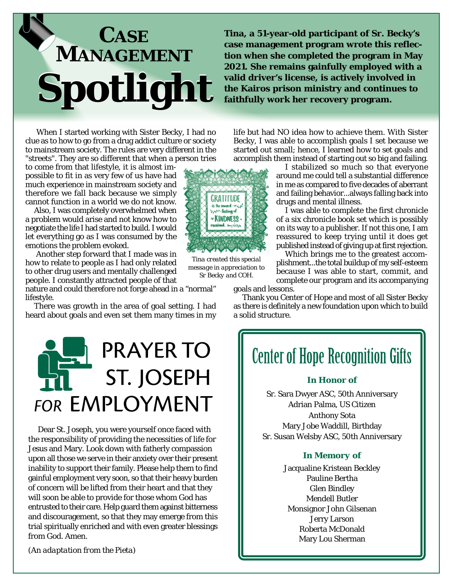

**Tina, a 51-year-old participant of Sr. Becky's case management program wrote this reflection when she completed the program in May 2021. She remains gainfully employed with a valid driver's license, is actively involved in the Kairos prison ministry and continues to faithfully work her recovery program.**

When I started working with Sister Becky, I had no clue as to how to go from a drug addict culture or society to mainstream society. The rules are very different in the "streets". They are so different that when a person tries

to come from that lifestyle, it is almost impossible to fit in as very few of us have had much experience in mainstream society and therefore we fall back because we simply cannot function in a world we do not know.

Also, I was completely overwhelmed when a problem would arise and not know how to negotiate the life I had started to build. I would let everything go as I was consumed by the emotions the problem evoked.

 Another step forward that I made was in how to relate to people as I had only related to other drug users and mentally challenged people. I constantly attracted people of that

nature and could therefore not forge ahead in a "normal" lifestyle.

There was growth in the area of goal setting. I had heard about goals and even set them many times in my



Dear St. Joseph, you were yourself once faced with the responsibility of providing the necessities of life for Jesus and Mary. Look down with fatherly compassion upon all those we serve in their anxiety over their present inability to support their family. Please help them to find gainful employment very soon, so that their heavy burden of concern will be lifted from their heart and that they will soon be able to provide for those whom God has entrusted to their care. Help guard them against bitterness and discouragement, so that they may emerge from this trial spiritually enriched and with even greater blessings from God. Amen.

life but had NO idea how to achieve them. With Sister Becky, I was able to accomplish goals I set because we started out small; hence, I learned how to set goals and accomplish them instead of starting out so big and failing.

I stabilized so much so that everyone around me could tell a substantial difference in me as compared to five decades of aberrant and failing behavior...always falling back into drugs and mental illness.

I was able to complete the first chronicle of a six chronicle book set which is possibly on its way to a publisher. If not this one, I am reassured to keep trying until it does get published instead of giving up at first rejection.

Which brings me to the greatest accomplishment...the total buildup of my self-esteem because I was able to start, commit, and complete our program and its accompanying

goals and lessons.

Thank you Center of Hope and most of all Sister Becky as there is definitely a new foundation upon which to build a solid structure.

# **Center of Hope Recognition Gifts**

#### *In Honor of*

Sr. Sara Dwyer ASC, 50th Anniversary Adrian Palma, US Citizen Anthony Sota Mary Jobe Waddill, Birthday Sr. Susan Welsby ASC, 50th Anniversary

#### *In Memory of*

Jacqualine Kristean Beckley Pauline Bertha Glen Bindley Mendell Butler Monsignor John Gilsenan Jerry Larson Roberta McDonald Mary Lou Sherman

*(An adaptation from the Pieta)*



*message in appreciation to Sr Becky and COH.*